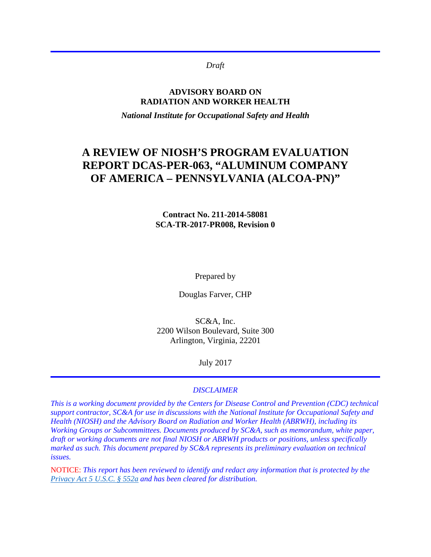*Draft*

#### **ADVISORY BOARD ON RADIATION AND WORKER HEALTH**

*National Institute for Occupational Safety and Health*

# **A REVIEW OF NIOSH'S PROGRAM EVALUATION REPORT DCAS-PER-063, "ALUMINUM COMPANY OF AMERICA – PENNSYLVANIA (ALCOA-PN)"**

#### **Contract No. 211-2014-58081 SCA-TR-2017-PR008, Revision 0**

Prepared by

Douglas Farver, CHP

SC&A, Inc. 2200 Wilson Boulevard, Suite 300 Arlington, Virginia, 22201

July 2017

#### *DISCLAIMER*

*This is a working document provided by the Centers for Disease Control and Prevention (CDC) technical support contractor, SC&A for use in discussions with the National Institute for Occupational Safety and Health (NIOSH) and the Advisory Board on Radiation and Worker Health (ABRWH), including its Working Groups or Subcommittees. Documents produced by SC&A, such as memorandum, white paper, draft or working documents are not final NIOSH or ABRWH products or positions, unless specifically marked as such. This document prepared by SC&A represents its preliminary evaluation on technical issues.*

NOTICE: *This report has been reviewed to identify and redact any information that is protected by the [Privacy Act 5 U.S.C. § 552a](http://www.justice.gov/opcl/privacy-act-1974) and has been cleared for distribution.*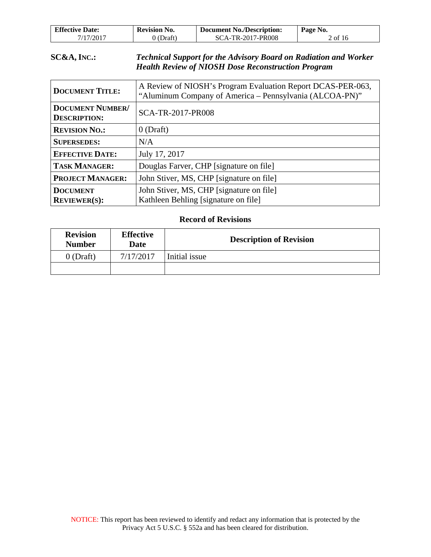| <b>Effective Date:</b> | <b>Revision No.</b> | <b>Document No./Description:</b> | Page No. |
|------------------------|---------------------|----------------------------------|----------|
| 7/17/2017              | (Draft)             | SCA-TR-2017-PR008                | 2 of 16  |

#### **SC&A, INC.:** *Technical Support for the Advisory Board on Radiation and Worker Health Review of NIOSH Dose Reconstruction Program*

| <b>DOCUMENT TITLE:</b>                         | A Review of NIOSH's Program Evaluation Report DCAS-PER-063,<br>"Aluminum Company of America - Pennsylvania (ALCOA-PN)" |
|------------------------------------------------|------------------------------------------------------------------------------------------------------------------------|
| <b>DOCUMENT NUMBER/</b><br><b>DESCRIPTION:</b> | SCA-TR-2017-PR008                                                                                                      |
| <b>REVISION NO.:</b>                           | $0$ (Draft)                                                                                                            |
| <b>SUPERSEDES:</b>                             | N/A                                                                                                                    |
| <b>EFFECTIVE DATE:</b>                         | July 17, 2017                                                                                                          |
| <b>TASK MANAGER:</b>                           | Douglas Farver, CHP [signature on file]                                                                                |
| <b>PROJECT MANAGER:</b>                        | John Stiver, MS, CHP [signature on file]                                                                               |
| <b>DOCUMENT</b><br><b>REVIEWER(S):</b>         | John Stiver, MS, CHP [signature on file]<br>Kathleen Behling [signature on file]                                       |

#### **Record of Revisions**

| <b>Revision</b><br><b>Number</b> | <b>Effective</b><br>Date | <b>Description of Revision</b> |  |
|----------------------------------|--------------------------|--------------------------------|--|
| $0$ (Draft)                      | 7/17/2017                | Initial issue                  |  |
|                                  |                          |                                |  |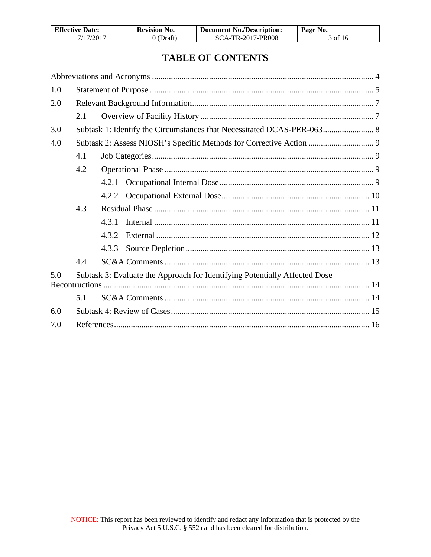| <b>Effective Date:</b> | <b>Revision No.</b> | <b>Document No./Description:</b> | Page No. |
|------------------------|---------------------|----------------------------------|----------|
| 7/17/2017              | 0 (Draft)           | SCA-TR-2017-PR008                | 3 of 16  |

## **TABLE OF CONTENTS**

| 1.0 |     |       |                                                                            |  |
|-----|-----|-------|----------------------------------------------------------------------------|--|
| 2.0 |     |       |                                                                            |  |
|     | 2.1 |       |                                                                            |  |
| 3.0 |     |       | Subtask 1: Identify the Circumstances that Necessitated DCAS-PER-063 8     |  |
| 4.0 |     |       |                                                                            |  |
|     | 4.1 |       |                                                                            |  |
|     | 4.2 |       |                                                                            |  |
|     |     | 4.2.1 |                                                                            |  |
|     |     | 4.2.2 |                                                                            |  |
|     | 4.3 |       |                                                                            |  |
|     |     | 4.3.1 |                                                                            |  |
|     |     | 4.3.2 |                                                                            |  |
|     |     | 4.3.3 |                                                                            |  |
|     | 4.4 |       |                                                                            |  |
| 5.0 |     |       | Subtask 3: Evaluate the Approach for Identifying Potentially Affected Dose |  |
|     |     |       |                                                                            |  |
|     | 5.1 |       |                                                                            |  |
| 6.0 |     |       |                                                                            |  |
| 7.0 |     |       |                                                                            |  |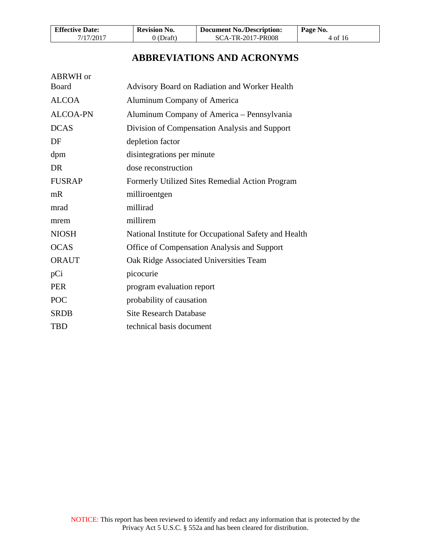| <b>Effective Date:</b> | <b>Revision No.</b> | <b>Document No./Description:</b> | Page No. |
|------------------------|---------------------|----------------------------------|----------|
| 7/17/2017              | 0 (Draft)           | <b>SCA-TR-2017-PR008</b>         | 4 of 16  |

## **ABBREVIATIONS AND ACRONYMS**

<span id="page-3-0"></span>

| ABRWH or        |                                                       |
|-----------------|-------------------------------------------------------|
| Board           | Advisory Board on Radiation and Worker Health         |
| <b>ALCOA</b>    | Aluminum Company of America                           |
| <b>ALCOA-PN</b> | Aluminum Company of America – Pennsylvania            |
| <b>DCAS</b>     | Division of Compensation Analysis and Support         |
| DF              | depletion factor                                      |
| dpm             | disintegrations per minute                            |
| DR              | dose reconstruction                                   |
| <b>FUSRAP</b>   | Formerly Utilized Sites Remedial Action Program       |
| mR              | milliroentgen                                         |
| mrad            | millirad                                              |
| mrem            | millirem                                              |
| <b>NIOSH</b>    | National Institute for Occupational Safety and Health |
| <b>OCAS</b>     | Office of Compensation Analysis and Support           |
| <b>ORAUT</b>    | Oak Ridge Associated Universities Team                |
| pCi             | picocurie                                             |
| <b>PER</b>      | program evaluation report                             |
| POC             | probability of causation                              |
| <b>SRDB</b>     | <b>Site Research Database</b>                         |
| <b>TBD</b>      | technical basis document                              |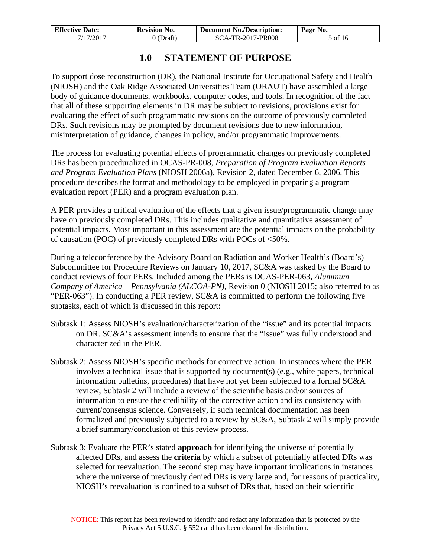| <b>Effective Date:</b> | <b>Revision No.</b> | <b>Document No./Description:</b> | Page No. |
|------------------------|---------------------|----------------------------------|----------|
| 7/17/2017              | 0 (Draft)           | SCA-TR-2017-PR008                | 5 of 16  |

## **1.0 STATEMENT OF PURPOSE**

<span id="page-4-0"></span>To support dose reconstruction (DR), the National Institute for Occupational Safety and Health (NIOSH) and the Oak Ridge Associated Universities Team (ORAUT) have assembled a large body of guidance documents, workbooks, computer codes, and tools. In recognition of the fact that all of these supporting elements in DR may be subject to revisions, provisions exist for evaluating the effect of such programmatic revisions on the outcome of previously completed DRs. Such revisions may be prompted by document revisions due to new information, misinterpretation of guidance, changes in policy, and/or programmatic improvements.

The process for evaluating potential effects of programmatic changes on previously completed DRs has been proceduralized in OCAS-PR-008, *Preparation of Program Evaluation Reports and Program Evaluation Plans* (NIOSH 2006a), Revision 2, dated December 6, 2006. This procedure describes the format and methodology to be employed in preparing a program evaluation report (PER) and a program evaluation plan.

A PER provides a critical evaluation of the effects that a given issue/programmatic change may have on previously completed DRs. This includes qualitative and quantitative assessment of potential impacts. Most important in this assessment are the potential impacts on the probability of causation (POC) of previously completed DRs with POCs of <50%.

During a teleconference by the Advisory Board on Radiation and Worker Health's (Board's) Subcommittee for Procedure Reviews on January 10, 2017, SC&A was tasked by the Board to conduct reviews of four PERs. Included among the PERs is DCAS-PER-063*, Aluminum Company of America – Pennsylvania (ALCOA-PN)*, Revision 0 (NIOSH 2015; also referred to as "PER-063"). In conducting a PER review, SC&A is committed to perform the following five subtasks, each of which is discussed in this report:

- Subtask 1: Assess NIOSH's evaluation/characterization of the "issue" and its potential impacts on DR. SC&A's assessment intends to ensure that the "issue" was fully understood and characterized in the PER.
- Subtask 2: Assess NIOSH's specific methods for corrective action. In instances where the PER involves a technical issue that is supported by document(s) (e.g., white papers, technical information bulletins, procedures) that have not yet been subjected to a formal SC&A review, Subtask 2 will include a review of the scientific basis and/or sources of information to ensure the credibility of the corrective action and its consistency with current/consensus science. Conversely, if such technical documentation has been formalized and previously subjected to a review by SC&A, Subtask 2 will simply provide a brief summary/conclusion of this review process.
- Subtask 3: Evaluate the PER's stated **approach** for identifying the universe of potentially affected DRs, and assess the **criteria** by which a subset of potentially affected DRs was selected for reevaluation. The second step may have important implications in instances where the universe of previously denied DRs is very large and, for reasons of practicality, NIOSH's reevaluation is confined to a subset of DRs that, based on their scientific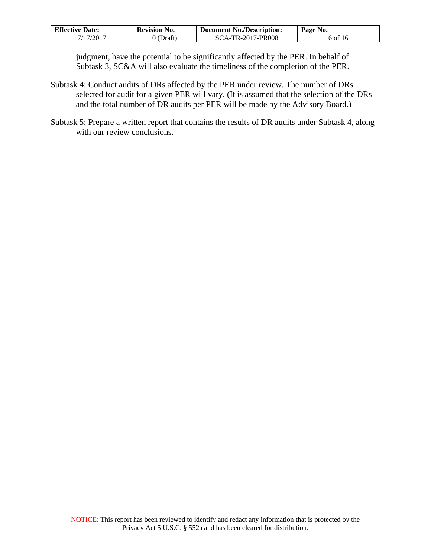| <b>Effective Date:</b> | <b>Revision No.</b> | <b>Document No./Description:</b> | Page No. |
|------------------------|---------------------|----------------------------------|----------|
| 7/17/2017              | 9 (Draft)           | SCA-TR-2017-PR008                | 6 of 16  |

judgment, have the potential to be significantly affected by the PER. In behalf of Subtask 3, SC&A will also evaluate the timeliness of the completion of the PER.

- Subtask 4: Conduct audits of DRs affected by the PER under review. The number of DRs selected for audit for a given PER will vary. (It is assumed that the selection of the DRs and the total number of DR audits per PER will be made by the Advisory Board.)
- Subtask 5: Prepare a written report that contains the results of DR audits under Subtask 4, along with our review conclusions.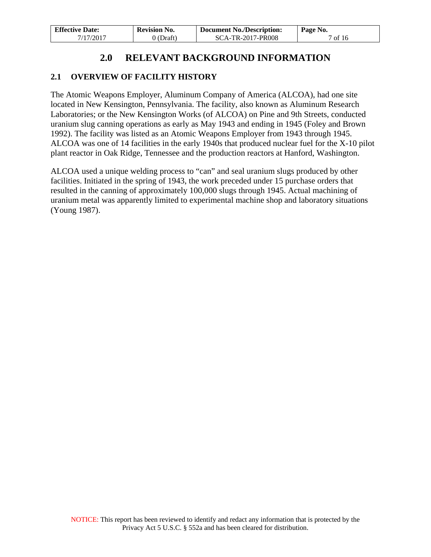| <b>Effective Date:</b> | <b>Revision No.</b> | Document No./Description: | Page No. |
|------------------------|---------------------|---------------------------|----------|
| 7/17/2017              | 0 (Draft)           | SCA-TR-2017-PR008         | 7 of 16  |

## **2.0 RELEVANT BACKGROUND INFORMATION**

### <span id="page-6-1"></span><span id="page-6-0"></span>**2.1 OVERVIEW OF FACILITY HISTORY**

The Atomic Weapons Employer, Aluminum Company of America (ALCOA), had one site located in New Kensington, Pennsylvania. The facility, also known as Aluminum Research Laboratories; or the New Kensington Works (of ALCOA) on Pine and 9th Streets, conducted uranium slug canning operations as early as May 1943 and ending in 1945 (Foley and Brown 1992). The facility was listed as an Atomic Weapons Employer from 1943 through 1945. ALCOA was one of 14 facilities in the early 1940s that produced nuclear fuel for the X-10 pilot plant reactor in Oak Ridge, Tennessee and the production reactors at Hanford, Washington.

ALCOA used a unique welding process to "can" and seal uranium slugs produced by other facilities. Initiated in the spring of 1943, the work preceded under 15 purchase orders that resulted in the canning of approximately 100,000 slugs through 1945. Actual machining of uranium metal was apparently limited to experimental machine shop and laboratory situations (Young 1987).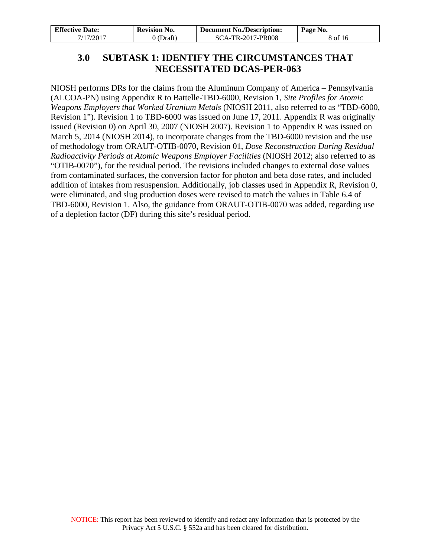<span id="page-7-0"></span>

| <b>Effective Date:</b> | <b>Revision No.</b> | Document No./Description: | Page No. |
|------------------------|---------------------|---------------------------|----------|
| 7/17/2017              | $0$ (Draft)         | <b>SCA-TR-2017-PR008</b>  | 8 of 16  |

## **3.0 SUBTASK 1: IDENTIFY THE CIRCUMSTANCES THAT NECESSITATED DCAS-PER-063**

NIOSH performs DRs for the claims from the Aluminum Company of America – Pennsylvania (ALCOA-PN) using Appendix R to Battelle-TBD-6000, Revision 1, *Site Profiles for Atomic Weapons Employers that Worked Uranium Metals* (NIOSH 2011, also referred to as "TBD-6000, Revision 1"). Revision 1 to TBD-6000 was issued on June 17, 2011. Appendix R was originally issued (Revision 0) on April 30, 2007 (NIOSH 2007). Revision 1 to Appendix R was issued on March 5, 2014 (NIOSH 2014), to incorporate changes from the TBD-6000 revision and the use of methodology from ORAUT-OTIB-0070, Revision 01, *Dose Reconstruction During Residual Radioactivity Periods at Atomic Weapons Employer Facilities* (NIOSH 2012; also referred to as "OTIB-0070"), for the residual period. The revisions included changes to external dose values from contaminated surfaces, the conversion factor for photon and beta dose rates, and included addition of intakes from resuspension. Additionally, job classes used in Appendix R, Revision 0, were eliminated, and slug production doses were revised to match the values in Table 6.4 of TBD-6000, Revision 1. Also, the guidance from ORAUT-OTIB-0070 was added, regarding use of a depletion factor (DF) during this site's residual period.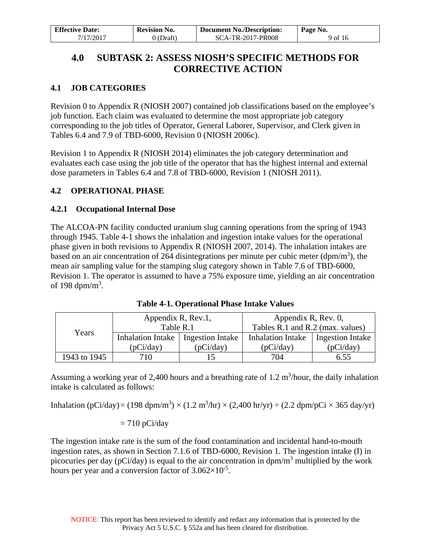| <b>Effective Date:</b> | <b>Revision No.</b> | <b>Document No./Description:</b> | Page No. |
|------------------------|---------------------|----------------------------------|----------|
| 7/17/2017              | $0$ (Draft)         | SCA-TR-2017-PR008                | 9 of 16  |

## <span id="page-8-0"></span>**4.0 SUBTASK 2: ASSESS NIOSH'S SPECIFIC METHODS FOR CORRECTIVE ACTION**

### <span id="page-8-1"></span>**4.1 JOB CATEGORIES**

Revision 0 to Appendix R (NIOSH 2007) contained job classifications based on the employee's job function. Each claim was evaluated to determine the most appropriate job category corresponding to the job titles of Operator, General Laborer, Supervisor, and Clerk given in Tables 6.4 and 7.9 of TBD-6000, Revision 0 (NIOSH 2006c).

Revision 1 to Appendix R (NIOSH 2014) eliminates the job category determination and evaluates each case using the job title of the operator that has the highest internal and external dose parameters in Tables 6.4 and 7.8 of TBD-6000, Revision 1 (NIOSH 2011).

#### <span id="page-8-2"></span>**4.2 OPERATIONAL PHASE**

#### <span id="page-8-3"></span>**4.2.1 Occupational Internal Dose**

The ALCOA-PN facility conducted uranium slug canning operations from the spring of 1943 through 1945. Table 4-1 shows the inhalation and ingestion intake values for the operational phase given in both revisions to Appendix R (NIOSH 2007, 2014). The inhalation intakes are based on an air concentration of 264 disintegrations per minute per cubic meter ( $dpm/m<sup>3</sup>$ ), the mean air sampling value for the stamping slug category shown in Table 7.6 of TBD-6000, Revision 1. The operator is assumed to have a 75% exposure time, yielding an air concentration of 198 dpm/m<sup>3</sup>.

|              | Appendix R, Rev.1,       |                  | Appendix R, Rev. 0,              |                         |  |
|--------------|--------------------------|------------------|----------------------------------|-------------------------|--|
|              | Table R.1                |                  | Tables R.1 and R.2 (max. values) |                         |  |
| Years        | <b>Inhalation Intake</b> | Ingestion Intake | <b>Inhalation Intake</b>         | <b>Ingestion Intake</b> |  |
|              | (pCi/day)                | (pCi/day)        | (pCi/day)                        | (pCi/day)               |  |
| 1943 to 1945 | 710                      | 15               | 704                              | 6.55                    |  |

**Table 4-1. Operational Phase Intake Values**

Assuming a working year of 2,400 hours and a breathing rate of  $1.2 \text{ m}^3$ /hour, the daily inhalation intake is calculated as follows:

Inhalation (pCi/day) = (198 dpm/m<sup>3</sup>) × (1.2 m<sup>3</sup>/hr) × (2,400 hr/yr) ÷ (2.2 dpm/pCi × 365 day/yr)

#### $= 710$  pCi/day

The ingestion intake rate is the sum of the food contamination and incidental hand-to-mouth ingestion rates, as shown in Section 7.1.6 of TBD-6000, Revision 1. The ingestion intake (I) in picocuries per day (pCi/day) is equal to the air concentration in  $dpm/m<sup>3</sup>$  multiplied by the work hours per year and a conversion factor of  $3.062\times10^{-5}$ .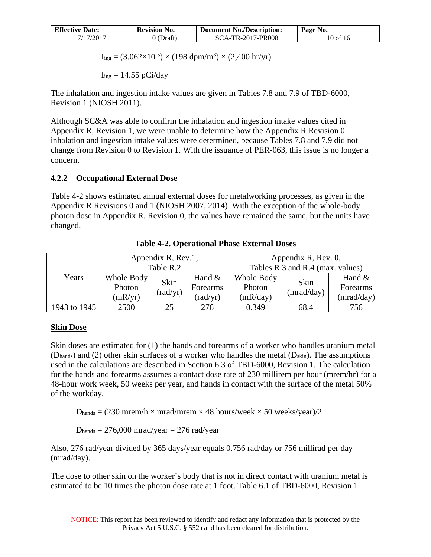| <b>Effective Date:</b> | Revision No. | <b>Document No./Description:</b> | Page No. |
|------------------------|--------------|----------------------------------|----------|
| 7/17/2017              | (Draft)      | SCA-TR-2017-PR008                | 10 of 16 |

 $I_{\text{ing}} = (3.062 \times 10^{-5}) \times (198 \text{ dpm/m}^3) \times (2,400 \text{ hr/yr})$ 

 $I_{ing} = 14.55$  pCi/day

The inhalation and ingestion intake values are given in Tables 7.8 and 7.9 of TBD-6000, Revision 1 (NIOSH 2011).

Although SC&A was able to confirm the inhalation and ingestion intake values cited in Appendix R, Revision 1, we were unable to determine how the Appendix R Revision 0 inhalation and ingestion intake values were determined, because Tables 7.8 and 7.9 did not change from Revision 0 to Revision 1. With the issuance of PER-063, this issue is no longer a concern.

### <span id="page-9-0"></span>**4.2.2 Occupational External Dose**

Table 4-2 shows estimated annual external doses for metalworking processes, as given in the Appendix R Revisions 0 and 1 (NIOSH 2007, 2014). With the exception of the whole-body photon dose in Appendix R, Revision 0, the values have remained the same, but the units have changed.

|              |                                 | Appendix R, Rev.1,<br>Table R.2 |                                  | Appendix R, Rev. 0,<br>Tables R.3 and R.4 (max. values) |                    |                                    |
|--------------|---------------------------------|---------------------------------|----------------------------------|---------------------------------------------------------|--------------------|------------------------------------|
| Years        | Whole Body<br>Photon<br>(mR/yr) | Skin<br>(rad/yr)                | Hand $&$<br>Forearms<br>(rad/yr) | Whole Body<br>Photon<br>(mR/day)                        | Skin<br>(mrad/day) | Hand $&$<br>Forearms<br>(mrad/day) |
| 1943 to 1945 | 2500                            | 25                              | 276                              | 0.349                                                   | 68.4               | 756                                |

**Table 4-2. Operational Phase External Doses**

### **Skin Dose**

Skin doses are estimated for (1) the hands and forearms of a worker who handles uranium metal (D<sub>hands</sub>) and (2) other skin surfaces of a worker who handles the metal (D<sub>skin</sub>). The assumptions used in the calculations are described in Section 6.3 of TBD-6000, Revision 1. The calculation for the hands and forearms assumes a contact dose rate of 230 millirem per hour (mrem/hr) for a 48-hour work week, 50 weeks per year, and hands in contact with the surface of the metal 50% of the workday.

 $D_{\text{bands}} = (230 \text{ mrem/h} \times \text{mrad/mrem} \times 48 \text{ hours/week} \times 50 \text{ weeks/year})/2$ 

 $D<sub>hands</sub> = 276,000 mrad/year = 276 rad/year$ 

Also, 276 rad/year divided by 365 days/year equals 0.756 rad/day or 756 millirad per day (mrad/day).

The dose to other skin on the worker's body that is not in direct contact with uranium metal is estimated to be 10 times the photon dose rate at 1 foot. Table 6.1 of TBD-6000, Revision 1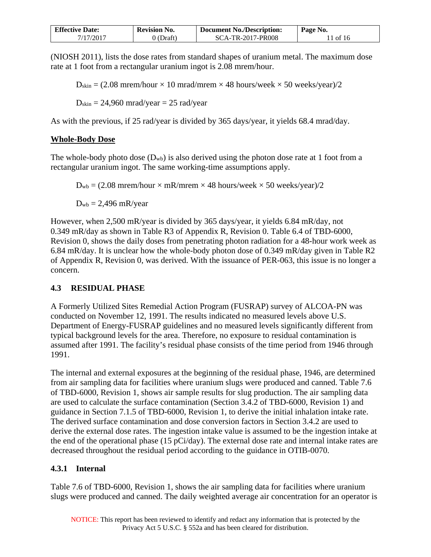| <b>Effective Date:</b> | <b>Revision No.</b> | <b>Document No./Description:</b> | Page No. |
|------------------------|---------------------|----------------------------------|----------|
| 7/17/2017              | J(Draft)            | SCA-TR-2017-PR008                | 11 of 16 |

(NIOSH 2011), lists the dose rates from standard shapes of uranium metal. The maximum dose rate at 1 foot from a rectangular uranium ingot is 2.08 mrem/hour.

 $D_{\text{skin}} = (2.08 \text{ mrem/hour} \times 10 \text{ mrad/mrem} \times 48 \text{ hours/week} \times 50 \text{ weeks/year})/2$ 

 $D_{\text{skin}} = 24,960 \text{ mrad/year} = 25 \text{ rad/year}$ 

As with the previous, if 25 rad/year is divided by 365 days/year, it yields 68.4 mrad/day.

#### **Whole-Body Dose**

The whole-body photo dose  $(D_{wb})$  is also derived using the photon dose rate at 1 foot from a rectangular uranium ingot. The same working-time assumptions apply.

 $D_{wb} = (2.08 \text{ mrem/hour} \times \text{mR/mrem} \times 48 \text{ hours/week} \times 50 \text{ weeks/year})/2$ 

 $D_{wb} = 2,496$  mR/year

However, when 2,500 mR/year is divided by 365 days/year, it yields 6.84 mR/day, not 0.349 mR/day as shown in Table R3 of Appendix R, Revision 0. Table 6.4 of TBD-6000, Revision 0, shows the daily doses from penetrating photon radiation for a 48-hour work week as 6.84 mR/day. It is unclear how the whole-body photon dose of 0.349 mR/day given in Table R2 of Appendix R, Revision 0, was derived. With the issuance of PER-063, this issue is no longer a concern.

### <span id="page-10-0"></span>**4.3 RESIDUAL PHASE**

A Formerly Utilized Sites Remedial Action Program (FUSRAP) survey of ALCOA-PN was conducted on November 12, 1991. The results indicated no measured levels above U.S. Department of Energy-FUSRAP guidelines and no measured levels significantly different from typical background levels for the area. Therefore, no exposure to residual contamination is assumed after 1991. The facility's residual phase consists of the time period from 1946 through 1991.

The internal and external exposures at the beginning of the residual phase, 1946, are determined from air sampling data for facilities where uranium slugs were produced and canned. Table 7.6 of TBD-6000, Revision 1, shows air sample results for slug production. The air sampling data are used to calculate the surface contamination (Section 3.4.2 of TBD-6000, Revision 1) and guidance in Section 7.1.5 of TBD-6000, Revision 1, to derive the initial inhalation intake rate. The derived surface contamination and dose conversion factors in Section 3.4.2 are used to derive the external dose rates. The ingestion intake value is assumed to be the ingestion intake at the end of the operational phase (15 pCi/day). The external dose rate and internal intake rates are decreased throughout the residual period according to the guidance in OTIB-0070.

#### <span id="page-10-1"></span>**4.3.1 Internal**

Table 7.6 of TBD-6000, Revision 1, shows the air sampling data for facilities where uranium slugs were produced and canned. The daily weighted average air concentration for an operator is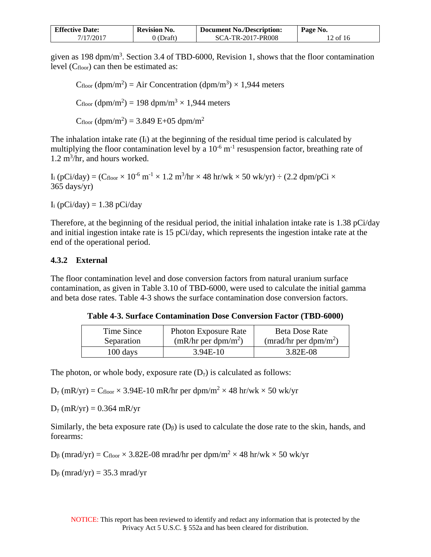| <b>Effective Date:</b> | <b>Revision No.</b> | <b>Document No./Description:</b> | Page No. |
|------------------------|---------------------|----------------------------------|----------|
| 7/17/2017              | (Draft)             | SCA-TR-2017-PR008                | 12 of 16 |

given as 198 dpm/m<sup>3</sup>. Section 3.4 of TBD-6000, Revision 1, shows that the floor contamination level (Cfloor) can then be estimated as:

 $C_{floor}$  (dpm/m<sup>2</sup>) = Air Concentration (dpm/m<sup>3</sup>) × 1,944 meters  $C_{floor}$  (dpm/m<sup>2</sup>) = 198 dpm/m<sup>3</sup>  $\times$  1,944 meters  $C_{floor} (dpm/m^2) = 3.849 E+05 dpm/m^2$ 

The inhalation intake rate  $(I_i)$  at the beginning of the residual time period is calculated by multiplying the floor contamination level by a  $10^{-6}$  m<sup>-1</sup> resuspension factor, breathing rate of  $1.2 \text{ m}^3/\text{hr}$ , and hours worked.

I<sub>i</sub> (pCi/day) = (C<sub>floor</sub>  $\times$  10<sup>-6</sup> m<sup>-1</sup>  $\times$  1.2 m<sup>3</sup>/hr  $\times$  48 hr/wk  $\times$  50 wk/yr)  $\div$  (2.2 dpm/pCi  $\times$  $365 \text{ days/yr}$ 

 $I_i$  (pCi/day) = 1.38 pCi/day

Therefore, at the beginning of the residual period, the initial inhalation intake rate is 1.38 pCi/day and initial ingestion intake rate is 15 pCi/day, which represents the ingestion intake rate at the end of the operational period.

#### <span id="page-11-0"></span>**4.3.2 External**

The floor contamination level and dose conversion factors from natural uranium surface contamination, as given in Table 3.10 of TBD-6000, were used to calculate the initial gamma and beta dose rates. Table 4-3 shows the surface contamination dose conversion factors.

**Table 4-3. Surface Contamination Dose Conversion Factor (TBD-6000)** 

| Time Since | <b>Photon Exposure Rate</b>     | Beta Dose Rate                    |
|------------|---------------------------------|-----------------------------------|
| Separation | (mR/hr per dpm/m <sup>2</sup> ) | (mrad/hr per dpm/m <sup>2</sup> ) |
| 100 days   | $3.94E-10$                      |                                   |

The photon, or whole body, exposure rate  $(D<sub>y</sub>)$  is calculated as follows:

 $D_{\gamma}$  (mR/yr) = Cfloor × 3.94E-10 mR/hr per dpm/m<sup>2</sup> × 48 hr/wk × 50 wk/yr

 $D_{\gamma}$  (mR/yr) = 0.364 mR/yr

Similarly, the beta exposure rate  $(D<sub>β</sub>)$  is used to calculate the dose rate to the skin, hands, and forearms:

D<sub>β</sub> (mrad/yr) = C<sub>floor</sub> × 3.82E-08 mrad/hr per dpm/m<sup>2</sup> × 48 hr/wk × 50 wk/yr

D<sub>β</sub> (mrad/yr) = 35.3 mrad/yr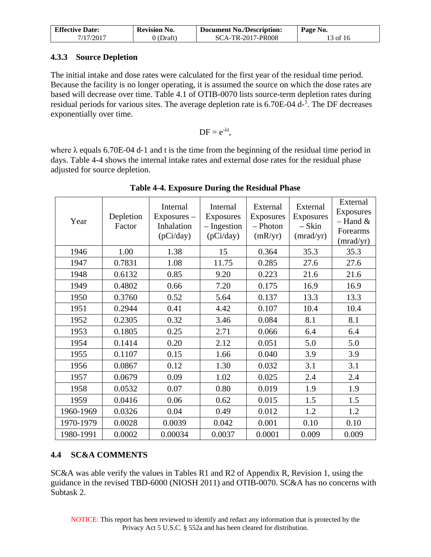| <b>Effective Date:</b> | <b>Revision No.</b> | <b>Document No./Description:</b> | Page No. |
|------------------------|---------------------|----------------------------------|----------|
| 7/17/2017              | 0 (Draft)           | SCA-TR-2017-PR008                | 13 of 16 |

### <span id="page-12-0"></span>**4.3.3 Source Depletion**

The initial intake and dose rates were calculated for the first year of the residual time period. Because the facility is no longer operating, it is assumed the source on which the dose rates are based will decrease over time. Table 4.1 of OTIB-0070 lists source-term depletion rates during residual periods for various sites. The average depletion rate is 6.70E-04 d<sup>-1</sup>. The DF decreases exponentially over time.

$$
DF = e^{-\lambda t},
$$

where  $\lambda$  equals 6.70E-04 d-1 and t is the time from the beginning of the residual time period in days. Table 4-4 shows the internal intake rates and external dose rates for the residual phase adjusted for source depletion.

| Year      | Depletion<br>Factor | Internal<br>$Exposures -$<br>Inhalation<br>(pCi/day) | Internal<br>Exposures<br>- Ingestion<br>(pCi/day) | External<br>Exposures<br>- Photon<br>(mR/yr) | External<br>Exposures<br>– Skin<br>(mrad/yr) | External<br>Exposures<br>$-$ Hand $\&$<br>Forearms<br>(mrad/yr) |
|-----------|---------------------|------------------------------------------------------|---------------------------------------------------|----------------------------------------------|----------------------------------------------|-----------------------------------------------------------------|
| 1946      | 1.00                | 1.38                                                 | 15                                                | 0.364                                        | 35.3                                         | 35.3                                                            |
| 1947      | 0.7831              | 1.08                                                 | 11.75                                             | 0.285                                        | 27.6                                         | 27.6                                                            |
| 1948      | 0.6132              | 0.85                                                 | 9.20                                              | 0.223                                        | 21.6                                         | 21.6                                                            |
| 1949      | 0.4802              | 0.66                                                 | 7.20                                              | 0.175                                        | 16.9                                         | 16.9                                                            |
| 1950      | 0.3760              | 0.52                                                 | 5.64                                              | 0.137                                        | 13.3                                         | 13.3                                                            |
| 1951      | 0.2944              | 0.41                                                 | 4.42                                              | 0.107                                        | 10.4                                         | 10.4                                                            |
| 1952      | 0.2305              | 0.32                                                 | 3.46                                              | 0.084                                        | 8.1                                          | 8.1                                                             |
| 1953      | 0.1805              | 0.25                                                 | 2.71                                              | 0.066                                        | 6.4                                          | 6.4                                                             |
| 1954      | 0.1414              | 0.20                                                 | 2.12                                              | 0.051                                        | 5.0                                          | 5.0                                                             |
| 1955      | 0.1107              | 0.15                                                 | 1.66                                              | 0.040                                        | 3.9                                          | 3.9                                                             |
| 1956      | 0.0867              | 0.12                                                 | 1.30                                              | 0.032                                        | 3.1                                          | 3.1                                                             |
| 1957      | 0.0679              | 0.09                                                 | 1.02                                              | 0.025                                        | 2.4                                          | 2.4                                                             |
| 1958      | 0.0532              | 0.07                                                 | 0.80                                              | 0.019                                        | 1.9                                          | 1.9                                                             |
| 1959      | 0.0416              | 0.06                                                 | 0.62                                              | 0.015                                        | 1.5                                          | 1.5                                                             |
| 1960-1969 | 0.0326              | 0.04                                                 | 0.49                                              | 0.012                                        | 1.2                                          | 1.2                                                             |
| 1970-1979 | 0.0028              | 0.0039                                               | 0.042                                             | 0.001                                        | 0.10                                         | 0.10                                                            |
| 1980-1991 | 0.0002              | 0.00034                                              | 0.0037                                            | 0.0001                                       | 0.009                                        | 0.009                                                           |

**Table 4-4. Exposure During the Residual Phase**

## <span id="page-12-1"></span>**4.4 SC&A COMMENTS**

SC&A was able verify the values in Tables R1 and R2 of Appendix R, Revision 1, using the guidance in the revised TBD-6000 (NIOSH 2011) and OTIB-0070. SC&A has no concerns with Subtask 2.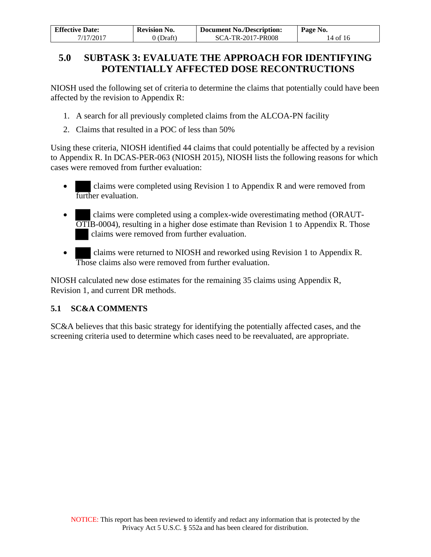| <b>Effective Date:</b> | <b>Revision No.</b> | <b>Document No./Description:</b> | Page No. |
|------------------------|---------------------|----------------------------------|----------|
| 7/17/2017              | 0 (Draft)           | SCA-TR-2017-PR008                | 14 of 16 |

## <span id="page-13-0"></span>**5.0 SUBTASK 3: EVALUATE THE APPROACH FOR IDENTIFYING POTENTIALLY AFFECTED DOSE RECONTRUCTIONS**

NIOSH used the following set of criteria to determine the claims that potentially could have been affected by the revision to Appendix R:

- 1. A search for all previously completed claims from the ALCOA-PN facility
- 2. Claims that resulted in a POC of less than 50%

Using these criteria, NIOSH identified 44 claims that could potentially be affected by a revision to Appendix R. In DCAS-PER-063 (NIOSH 2015), NIOSH lists the following reasons for which cases were removed from further evaluation:

- claims were completed using Revision 1 to Appendix R and were removed from further evaluation.
- claims were completed using a complex-wide overestimating method (ORAUT-OTIB-0004), resulting in a higher dose estimate than Revision 1 to Appendix R. Those claims were removed from further evaluation.
- claims were returned to NIOSH and reworked using Revision 1 to Appendix R. Those claims also were removed from further evaluation.

NIOSH calculated new dose estimates for the remaining 35 claims using Appendix R, Revision 1, and current DR methods.

### <span id="page-13-1"></span>**5.1 SC&A COMMENTS**

SC&A believes that this basic strategy for identifying the potentially affected cases, and the screening criteria used to determine which cases need to be reevaluated, are appropriate.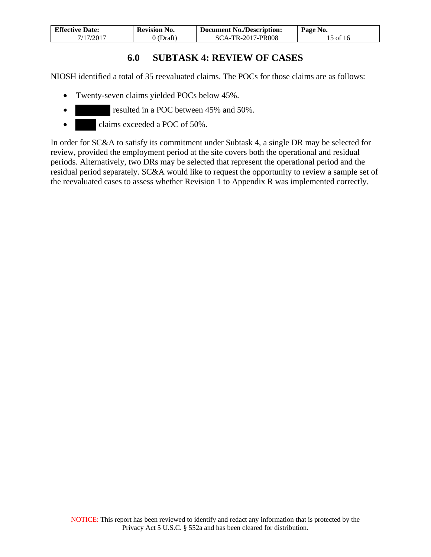| <b>Effective Date:</b> | <b>Revision No.</b> | <b>Document No./Description:</b> | Page No. |
|------------------------|---------------------|----------------------------------|----------|
| 7/17/2017              | 0 (Draft)           | SCA-TR-2017-PR008                | 15 of 16 |

## **6.0 SUBTASK 4: REVIEW OF CASES**

<span id="page-14-0"></span>NIOSH identified a total of 35 reevaluated claims. The POCs for those claims are as follows:

- Twenty-seven claims yielded POCs below 45%.
- resulted in a POC between 45% and 50%.
- claims exceeded a POC of 50%.

In order for SC&A to satisfy its commitment under Subtask 4, a single DR may be selected for review, provided the employment period at the site covers both the operational and residual periods. Alternatively, two DRs may be selected that represent the operational period and the residual period separately. SC&A would like to request the opportunity to review a sample set of the reevaluated cases to assess whether Revision 1 to Appendix R was implemented correctly.